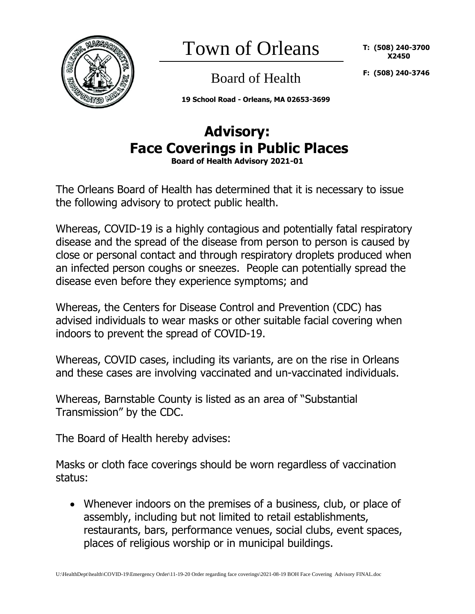

Town of Orleans

**T: (508) 240-3700 X2450**

Board of Health

**F: (508) 240-3746**

**19 School Road - Orleans, MA 02653-3699**

## **Advisory: Face Coverings in Public Places Board of Health Advisory 2021-01**

The Orleans Board of Health has determined that it is necessary to issue the following advisory to protect public health.

Whereas, COVID-19 is a highly contagious and potentially fatal respiratory disease and the spread of the disease from person to person is caused by close or personal contact and through respiratory droplets produced when an infected person coughs or sneezes. People can potentially spread the disease even before they experience symptoms; and

Whereas, the Centers for Disease Control and Prevention (CDC) has advised individuals to wear masks or other suitable facial covering when indoors to prevent the spread of COVID-19.

Whereas, COVID cases, including its variants, are on the rise in Orleans and these cases are involving vaccinated and un-vaccinated individuals.

Whereas, Barnstable County is listed as an area of "Substantial Transmission" by the CDC.

The Board of Health hereby advises:

Masks or cloth face coverings should be worn regardless of vaccination status:

• Whenever indoors on the premises of a business, club, or place of assembly, including but not limited to retail establishments, restaurants, bars, performance venues, social clubs, event spaces, places of religious worship or in municipal buildings.